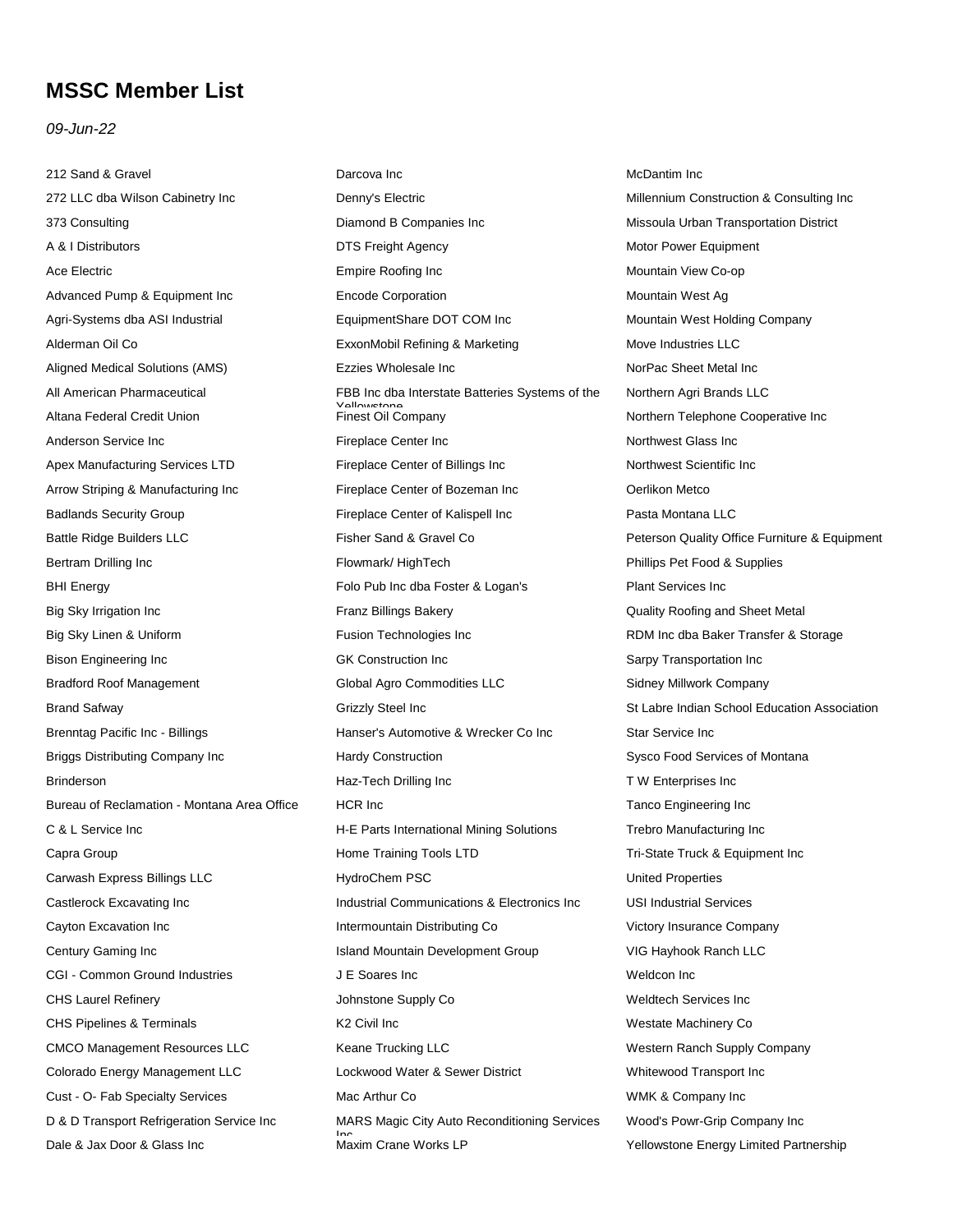## **MSSC Member List**

## *09-Jun-22*

212 Sand & Gravel 272 LLC dba Wilson Cabinetry Inc 373 Consulting A & I Distributors Ace Electric Advanced Pump & Equipment Inc Agri-Systems dba ASI Industrial Alderman Oil Co Aligned Medical Solutions (AMS) All American Pharmaceutical Altana Federal Credit Union Anderson Service Inc Apex Manufacturing Services LTD Arrow Striping & Manufacturing Inc Badlands Security Group Battle Ridge Builders LLC Bertram Drilling Inc BHI Energy Big Sky Irrigation Inc Big Sky Linen & Uniform Bison Engineering Inc Bradford Roof Management Brand Safway Brenntag Pacific Inc - Billings Briggs Distributing Company Inc **Brinderson** Bureau of Reclamation - Montana Area Office C & L Service Inc Capra Group Carwash Express Billings LLC Castlerock Excavating Inc Cayton Excavation Inc Century Gaming Inc CGI - Common Ground Industries CHS Laurel Refinery CHS Pipelines & Terminals CMCO Management Resources LLC Colorado Energy Management LLC Cust - O- Fab Specialty Services D & D Transport Refrigeration Service Inc Dale & Jax Door & Glass Inc

Denny's Electric Diamond B Companies Inc DTS Freight Agency Empire Roofing Inc Encode Corporation EquipmentShare DOT COM Inc ExxonMobil Refining & Marketing Ezzies Wholesale Inc FBB Inc dba Interstate Batteries Systems of the Yellowstone Finest Oil Company Fireplace Center Inc Fireplace Center of Billings Inc Fireplace Center of Bozeman Inc Fireplace Center of Kalispell Inc Fisher Sand & Gravel Co Flowmark/ HighTech Folo Pub Inc dba Foster & Logan's Franz Billings Bakery Fusion Technologies Inc GK Construction Inc Global Agro Commodities LLC Grizzly Steel Inc Hanser's Automotive & Wrecker Co Inc Hardy Construction Haz-Tech Drilling Inc HCR Inc H-E Parts International Mining Solutions Home Training Tools LTD HydroChem PSC Industrial Communications & Electronics Inc Intermountain Distributing Co Island Mountain Development Group J E Soares Inc Johnstone Supply Co K2 Civil Inc Keane Trucking LLC Lockwood Water & Sewer District Mac Arthur Co MARS Magic City Auto Reconditioning Services Inc<br>Maxim Crane Works LP

Darcova Inc

McDantim Inc Millennium Construction & Consulting Inc Missoula Urban Transportation District Motor Power Equipment Mountain View Co-op Mountain West Ag Mountain West Holding Company Move Industries LLC NorPac Sheet Metal Inc Northern Agri Brands LLC Northern Telephone Cooperative Inc Northwest Glass Inc Northwest Scientific Inc Oerlikon Metco Pasta Montana LLC Peterson Quality Office Furniture & Equipment Phillips Pet Food & Supplies Plant Services Inc Quality Roofing and Sheet Metal RDM Inc dba Baker Transfer & Storage Sarpy Transportation Inc Sidney Millwork Company St Labre Indian School Education Association Star Service Inc Sysco Food Services of Montana T W Enterprises Inc Tanco Engineering Inc Trebro Manufacturing Inc Tri-State Truck & Equipment Inc United Properties USI Industrial Services Victory Insurance Company VIG Hayhook Ranch LLC Weldcon Inc Weldtech Services Inc Westate Machinery Co Western Ranch Supply Company Whitewood Transport Inc WMK & Company Inc Wood's Powr-Grip Company Inc Yellowstone Energy Limited Partnership